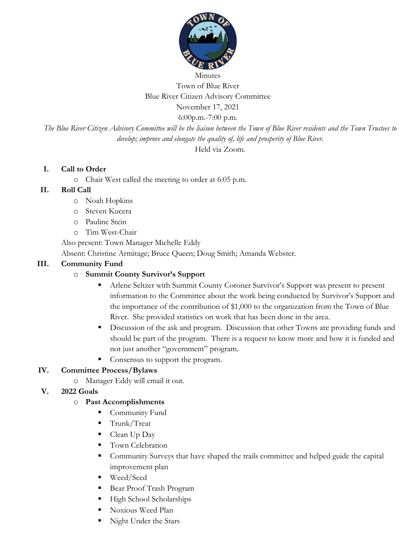

Minutes Town of Blue River Blue River Citizen Advisory Committee November 17, 2021

6:00p.m.-7:00 p.m.

*The Blue River Citizen Advisory Committee will be the liaison between the Town of Blue River residents and the Town Trustees to develop; improve and elongate the quality of, life and prosperity of Blue River.*

Held via Zoom.

### **I. Call to Order**

o Chair West called the meeting to order at 6:05 p.m.

## **II. Roll Call**

- o Noah Hopkins
- o Steven Kucera
- o Pauline Stein
- o Tim West-Chair

Also present: Town Manager Michelle Eddy

Absent: Christine Armitage; Bruce Queen; Doug Smith; Amanda Webster.

## **III. Community Fund**

# o **Summit County Survivor's Support**

- Arlene Seltzer with Summit County Coroner Survivor's Support was present to present information to the Committee about the work being conducted by Survivor's Support and the importance of the contribution of \$1,000 to the organization from the Town of Blue River. She provided statistics on work that has been done in the area.
- Discussion of the ask and program. Discussion that other Towns are providing funds and should be part of the program. There is a request to know more and how it is funded and not just another "government" program.
- Consensus to support the program.

### **IV. Committee Process/Bylaws**

- o Manager Eddy will email it out.
- **V. 2022 Goals**

# o **Past Accomplishments**

- Community Fund
- Trunk/Treat
- Clean Up Day
- Town Celebration
- Community Surveys that have shaped the trails committee and helped guide the capital improvement plan
- Weed/Seed
- Bear Proof Trash Program
- **EXECUTE:** High School Scholarships
- Noxious Weed Plan
- Night Under the Stars